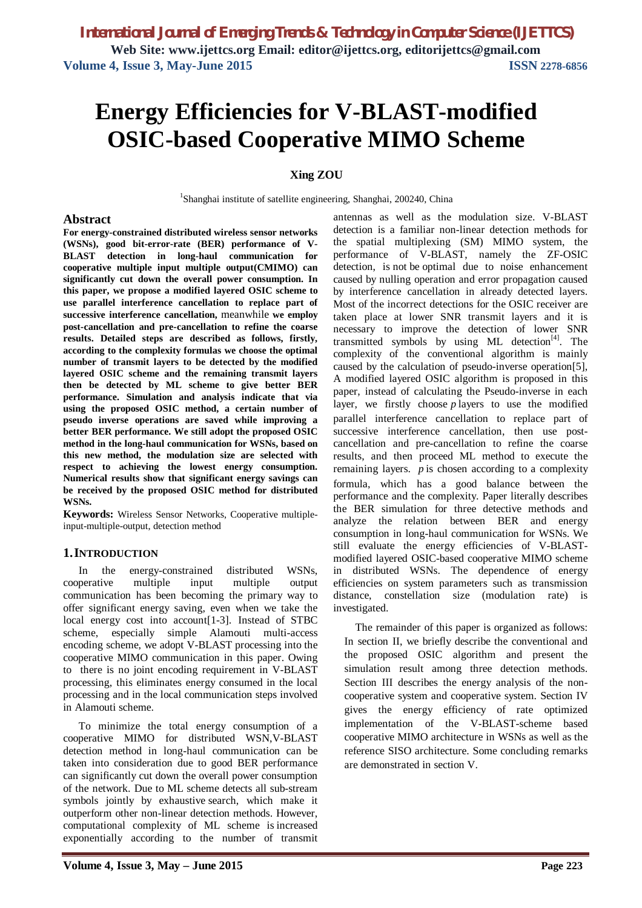# **Energy Efficiencies for V-BLAST-modified OSIC-based Cooperative MIMO Scheme**

## **Xing ZOU**

<sup>1</sup>Shanghai institute of satellite engineering, Shanghai, 200240, China

## **Abstract**

**For energy-constrained distributed wireless sensor networks (WSNs), good bit-error-rate (BER) performance of V-BLAST detection in long-haul communication for cooperative multiple input multiple output(CMIMO) can significantly cut down the overall power consumption. In this paper, we propose a modified layered OSIC scheme to use parallel interference cancellation to replace part of successive interference cancellation,** meanwhile **we employ post-cancellation and pre-cancellation to refine the coarse results. Detailed steps are described as follows, firstly, according to the complexity formulas we choose the optimal number of transmit layers to be detected by the modified layered OSIC scheme and the remaining transmit layers then be detected by ML scheme to give better BER performance. Simulation and analysis indicate that via using the proposed OSIC method, a certain number of pseudo inverse operations are saved while improving a better BER performance. We still adopt the proposed OSIC method in the long-haul communication for WSNs, based on this new method, the modulation size are selected with respect to achieving the lowest energy consumption. Numerical results show that significant energy savings can be received by the proposed OSIC method for distributed WSNs.**

**Keywords:** Wireless Sensor Networks, Cooperative multipleinput-multiple-output, detection method

## **1.INTRODUCTION**

In the energy-constrained distributed WSNs, cooperative multiple input multiple output communication has been becoming the primary way to offer significant energy saving, even when we take the local energy cost into account[1-3]. Instead of STBC scheme, especially simple Alamouti multi-access encoding scheme, we adopt V-BLAST processing into the cooperative MIMO communication in this paper. Owing to there is no joint encoding requirement in V-BLAST processing, this eliminates energy consumed in the local processing and in the local communication steps involved in Alamouti scheme.

To minimize the total energy consumption of a cooperative MIMO for distributed WSN,V-BLAST detection method in long-haul communication can be taken into consideration due to good BER performance can significantly cut down the overall power consumption of the network. Due to ML scheme detects all sub-stream symbols jointly by exhaustive search, which make it outperform other non-linear detection methods. However, computational complexity of ML scheme is increased exponentially according to the number of transmit antennas as well as the modulation size. V-BLAST detection is a familiar non-linear detection methods for the spatial multiplexing (SM) MIMO system, the performance of V-BLAST, namely the ZF-OSIC detection, is not be optimal due to noise enhancement caused by nulling operation and error propagation caused by interference cancellation in already detected layers. Most of the incorrect detections for the OSIC receiver are taken place at lower SNR transmit layers and it is necessary to improve the detection of lower SNR transmitted symbols by using ML detection<sup>[4]</sup>. The complexity of the conventional algorithm is mainly caused by the calculation of pseudo-inverse operation[5], A modified layered OSIC algorithm is proposed in this paper, instead of calculating the Pseudo-inverse in each layer, we firstly choose *p* layers to use the modified parallel interference cancellation to replace part of successive interference cancellation, then use postcancellation and pre-cancellation to refine the coarse results, and then proceed ML method to execute the remaining layers. *p* is chosen according to a complexity formula, which has a good balance between the performance and the complexity. Paper literally describes the BER simulation for three detective methods and analyze the relation between BER and energy consumption in long-haul communication for WSNs. We still evaluate the energy efficiencies of V-BLASTmodified layered OSIC-based cooperative MIMO scheme in distributed WSNs. The dependence of energy efficiencies on system parameters such as transmission distance, constellation size (modulation rate) is investigated.

The remainder of this paper is organized as follows: In section II, we briefly describe the conventional and the proposed OSIC algorithm and present the simulation result among three detection methods. Section III describes the energy analysis of the noncooperative system and cooperative system. Section IV gives the energy efficiency of rate optimized implementation of the V-BLAST-scheme based cooperative MIMO architecture in WSNs as well as the reference SISO architecture. Some concluding remarks are demonstrated in section V.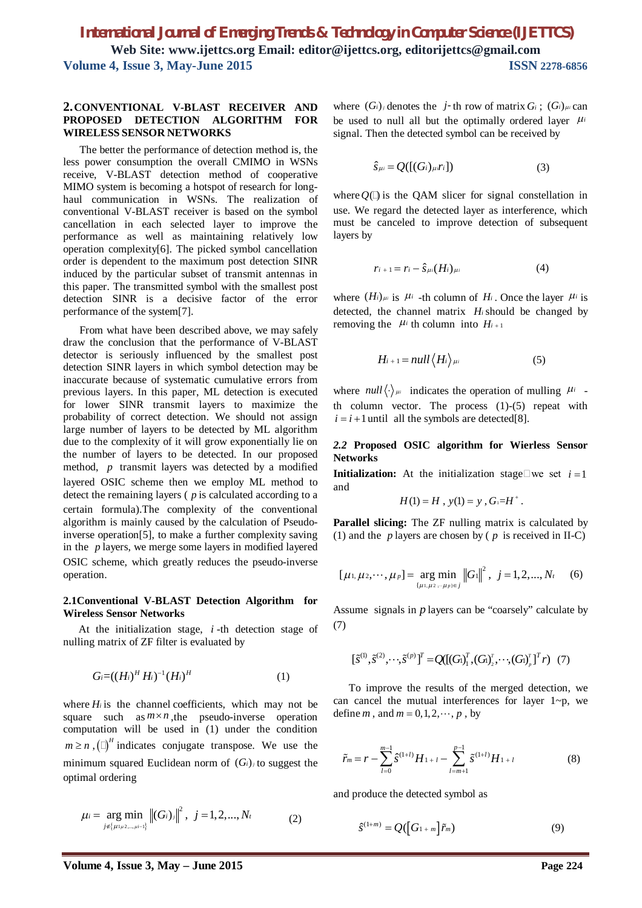## **2.CONVENTIONAL V-BLAST RECEIVER AND PROPOSED DETECTION ALGORITHM FOR WIRELESS SENSOR NETWORKS**

The better the performance of detection method is, the less power consumption the overall CMIMO in WSNs receive, V-BLAST detection method of cooperative MIMO system is becoming a hotspot of research for longhaul communication in WSNs. The realization of conventional V-BLAST receiver is based on the symbol cancellation in each selected layer to improve the performance as well as maintaining relatively low operation complexity[6]. The picked symbol cancellation order is dependent to the maximum post detection SINR induced by the particular subset of transmit antennas in this paper. The transmitted symbol with the smallest post detection SINR is a decisive factor of the error performance of the system[7].

From what have been described above, we may safely draw the conclusion that the performance of V-BLAST detector is seriously influenced by the smallest post detection SINR layers in which symbol detection may be inaccurate because of systematic cumulative errors from previous layers. In this paper, ML detection is executed for lower SINR transmit layers to maximize the probability of correct detection. We should not assign large number of layers to be detected by ML algorithm due to the complexity of it will grow exponentially lie on the number of layers to be detected. In our proposed method, *p* transmit layers was detected by a modified layered OSIC scheme then we employ ML method to detect the remaining layers ( *p* is calculated according to a certain formula).The complexity of the conventional algorithm is mainly caused by the calculation of Pseudoinverse operation[5], to make a further complexity saving in the *p* layers, we merge some layers in modified layered OSIC scheme, which greatly reduces the pseudo-inverse operation.

## **2.1Conventional V-BLAST Detection Algorithm for Wireless Sensor Networks**

At the initialization stage, *i* -th detection stage of nulling matrix of ZF filter is evaluated by

$$
G_i = ((H_i)^H H_i)^{-1} (H_i)^H
$$
 (1)

where  $H_i$  is the channel coefficients, which may not be square such as  $m \times n$ , the pseudo-inverse operation computation will be used in (1) under the condition  $m \ge n$ ,  $(\Box)^H$  indicates conjugate transpose. We use the minimum squared Euclidean norm of  $(G_i)$  to suggest the optimal ordering

$$
\mu_i = \underset{j \in \{\mu_1, \mu_2, \dots, \mu_i - 1\}}{\arg \min} \left\| (G_i)_j \right\|^2, \ j = 1, 2, \dots, N_t \tag{2}
$$

where  $(G_i)$  denotes the *j*-th row of matrix  $G_i$ ;  $(G_i)_{\mu i}$  can be used to null all but the optimally ordered layer  $\mu_i$ signal. Then the detected symbol can be received by

$$
\hat{S}_{\mu i} = Q([(G_i)_{\mu i}r_i]) \tag{3}
$$

where  $O(\Box)$  is the OAM slicer for signal constellation in use. We regard the detected layer as interference, which must be canceled to improve detection of subsequent layers by

$$
r_{i+1}=r_i-\hat{S}_{\mu i}(H_i)_{\mu i}\tag{4}
$$

where  $(H_i)_{\mu i}$  is  $\mu_i$  -th column of  $H_i$ . Once the layer  $\mu_i$  is detected, the channel matrix *H<sup>i</sup>* should be changed by removing the  $\mu$ <sup>*i*</sup> th column into  $H$ <sub>*i* + 1</sub>

$$
H_{i+1} = null \langle H_i \rangle_{\mu_i} \tag{5}
$$

where  $null(\cdot)_{\mu i}$  indicates the operation of mulling  $\mu i$  th column vector. The process  $(1)-(5)$  repeat with  $i = i + 1$  until all the symbols are detected[8].

## *2.2* **Proposed OSIC algorithm for Wierless Sensor Networks**

**Initialization:** At the initialization stage we set  $i = 1$ and

$$
H(1) = H, y(1) = y, G_1 = H^+.
$$

**Parallel slicing:** The ZF nulling matrix is calculated by (1) and the *p* layers are chosen by ( *p* is received in II-C)

$$
[\mu_1, \mu_2, \cdots, \mu_p] = \underset{\{\mu_1, \mu_2, \cdots, \mu_p\} \in j}{\arg \min} ||G_1||^2, \ \ j = 1, 2, \ldots, N_t \quad (6)
$$

Assume signals in *p* layers can be "coarsely" calculate by (7)

$$
[\tilde{s}^{(1)}, \tilde{s}^{(2)}, \cdots, \tilde{s}^{(p)}]^T = Q([(G)]_1^T, (G)]_2^T, \cdots, (G)]_p^T]^T r) (7)
$$

To improve the results of the merged detection, we can cancel the mutual interferences for layer  $1-\rho$ , we define *m*, and  $m = 0, 1, 2, \dots, p$ , by

$$
\widetilde{r}_m = r - \sum_{l=0}^{m-1} \widetilde{S}^{(1+l)} H_{1+l} - \sum_{l=m+1}^{p-1} \widetilde{S}^{(1+l)} H_{1+l} \tag{8}
$$

and produce the detected symbol as

$$
\hat{S}^{(1+m)} = Q(\left[G_{1+m}\right]\tilde{r}_m) \tag{9}
$$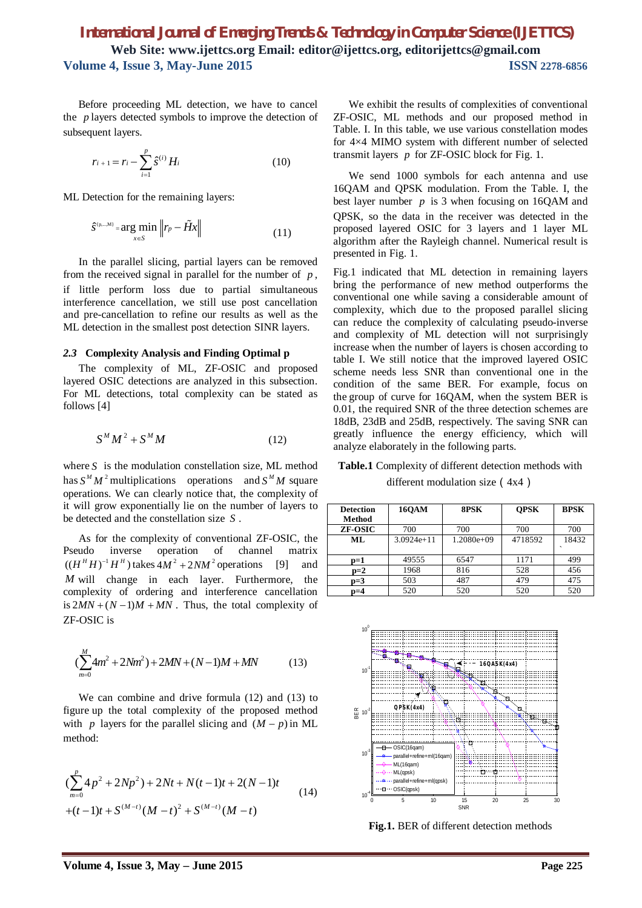Before proceeding ML detection, we have to cancel the *p* layers detected symbols to improve the detection of subsequent layers.

$$
r_{i+1} = r_i - \sum_{i=1}^p \hat{s}^{(i)} H_i
$$
 (10)

ML Detection for the remaining layers:

$$
\hat{S}^{(p,...M)} = \underset{x \in S}{\arg \min} \left\| r_p - \tilde{H}x \right\| \tag{11}
$$

In the parallel slicing, partial layers can be removed from the received signal in parallel for the number of *p* , if little perform loss due to partial simultaneous interference cancellation, we still use post cancellation and pre-cancellation to refine our results as well as the ML detection in the smallest post detection SINR layers.

## *2.3* **Complexity Analysis and Finding Optimal p**

The complexity of ML, ZF-OSIC and proposed layered OSIC detections are analyzed in this subsection. For ML detections, total complexity can be stated as follows [4]

$$
S^M M^2 + S^M M \tag{12}
$$

where *S* is the modulation constellation size, ML method has  $S^M M^2$  multiplications operations and  $S^M M$  square operations. We can clearly notice that, the complexity of it will grow exponentially lie on the number of layers to be detected and the constellation size *S* .

As for the complexity of conventional ZF-OSIC, the Pseudo inverse operation of channel matrix  $((H<sup>H</sup> H)<sup>-1</sup> H<sup>H</sup>)$  takes  $4M<sup>2</sup> + 2NM<sup>2</sup>$  operations [9] and *M* will change in each layer. Furthermore, the complexity of ordering and interference cancellation is  $2MN + (N-1)M + MN$ . Thus, the total complexity of ZF-OSIC is

$$
\left(\sum_{m=0}^{M} 4m^2 + 2Nm^2\right) + 2MN + (N-1)M + MN \tag{13}
$$

We can combine and drive formula (12) and (13) to figure up the total complexity of the proposed method with *p* layers for the parallel slicing and  $(M - p)$  in ML method:

$$
\left(\sum_{m=0}^{p} 4p^2 + 2Np^2\right) + 2Nt + N(t-1)t + 2(N-1)t
$$
\n
$$
+(t-1)t + S^{(M-t)}(M-t)^2 + S^{(M-t)}(M-t)
$$
\n(14)

We exhibit the results of complexities of conventional ZF-OSIC, ML methods and our proposed method in Table. I. In this table, we use various constellation modes for 4×4 MIMO system with different number of selected transmit layers *p* for ZF-OSIC block for Fig. 1.

We send 1000 symbols for each antenna and use 16QAM and QPSK modulation. From the Table. I, the best layer number  $p$  is 3 when focusing on 16QAM and QPSK, so the data in the receiver was detected in the proposed layered OSIC for 3 layers and 1 layer ML algorithm after the Rayleigh channel. Numerical result is presented in Fig. 1.

Fig.1 indicated that ML detection in remaining layers bring the performance of new method outperforms the conventional one while saving a considerable amount of complexity, which due to the proposed parallel slicing can reduce the complexity of calculating pseudo-inverse and complexity of ML detection will not surprisingly increase when the number of layers is chosen according to table I. We still notice that the improved layered OSIC scheme needs less SNR than conventional one in the condition of the same BER. For example, focus on the group of curve for 16QAM, when the system BER is 0.01, the required SNR of the three detection schemes are 18dB, 23dB and 25dB, respectively. The saving SNR can greatly influence the energy efficiency, which will analyze elaborately in the following parts.

**Table.1** Complexity of different detection methods with different modulation size (4x4)

| <b>Detection</b><br>Method | <b>16OAM</b> | 8PSK         | <b>OPSK</b> | <b>BPSK</b> |
|----------------------------|--------------|--------------|-------------|-------------|
| <b>ZF-OSIC</b>             | 700          | 700          | 700         | 700         |
| ML                         | $3.0924e+11$ | $1.2080e+09$ | 4718592     | 18432       |
|                            |              |              |             |             |
| $p=1$                      | 49555        | 6547         | 1171        | 499         |
| $p=2$                      | 1968         | 816          | 528         | 456         |
| $p=3$                      | 503          | 487          | 479         | 475         |
| D=4                        | 520          | 520          | 520         | 520         |



**Fig.1.** BER of different detection methods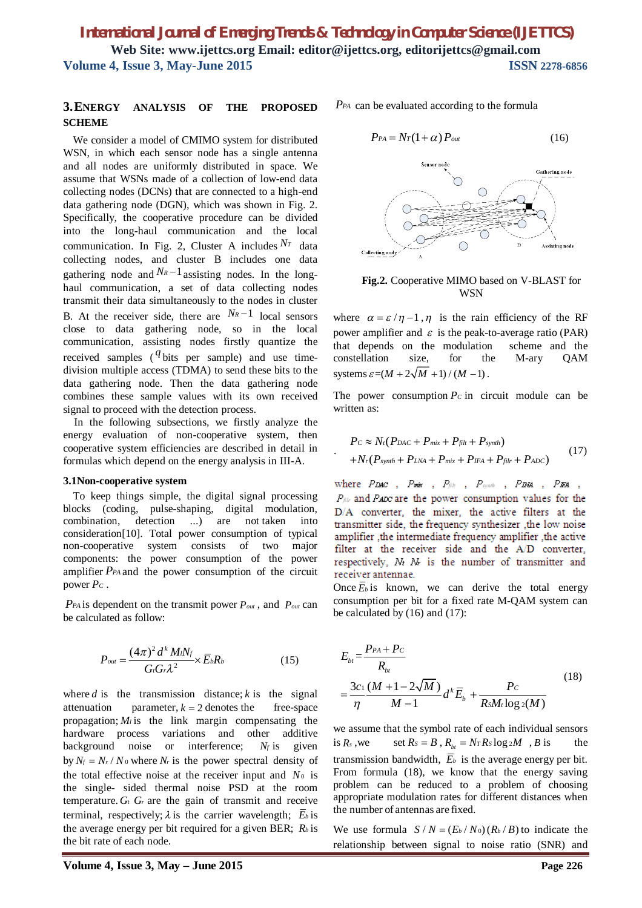.

## **3.ENERGY ANALYSIS OF THE PROPOSED SCHEME**

We consider a model of CMIMO system for distributed WSN, in which each sensor node has a single antenna and all nodes are uniformly distributed in space. We assume that WSNs made of a collection of low-end data collecting nodes (DCNs) that are connected to a high-end data gathering node (DGN), which was shown in Fig. 2. Specifically, the cooperative procedure can be divided into the long-haul communication and the local communication. In Fig. 2, Cluster A includes  $N_T$  data collecting nodes, and cluster B includes one data gathering node and  $N_R-1$  assisting nodes. In the longhaul communication, a set of data collecting nodes transmit their data simultaneously to the nodes in cluster B. At the receiver side, there are  $N_R-1$  local sensors close to data gathering node, so in the local communication, assisting nodes firstly quantize the received samples  $($ <sup>q</sup> bits per sample) and use timedivision multiple access (TDMA) to send these bits to the data gathering node. Then the data gathering node combines these sample values with its own received signal to proceed with the detection process.

In the following subsections, we firstly analyze the energy evaluation of non-cooperative system, then cooperative system efficiencies are described in detail in formulas which depend on the energy analysis in III-A.

## **3.1Non-cooperative system**

To keep things simple, the digital signal processing blocks (coding, pulse-shaping, digital modulation, combination, detection ...) are not taken into consideration[10]. Total power consumption of typical non-cooperative system consists of two major components: the power consumption of the power amplifier *PPA* and the power consumption of the circuit power *P<sup>C</sup>* .

*PPA* is dependent on the transmit power *Pout* , and *Pout* can be calculated as follow:

$$
P_{out} = \frac{(4\pi)^2 d^k M i N_f}{G G \lambda^2} \times \overline{E}_b R_b \tag{15}
$$

where  $d$  is the transmission distance;  $k$  is the signal attenuation parameter,  $k = 2$  denotes the free-space propagation;  $M_i$  is the link margin compensating the hardware process variations and other additive background noise or interference; *N<sup>f</sup>* is given by  $N_f = N_r / N_0$  where  $N_r$  is the power spectral density of the total effective noise at the receiver input and  $N_0$  is the single- sided thermal noise PSD at the room temperature.  $G_t$   $G_r$  are the gain of transmit and receive terminal, respectively;  $\lambda$  is the carrier wavelength;  $\overline{E}_b$  is the average energy per bit required for a given BER; *R<sup>b</sup>* is the bit rate of each node.

*PPA* can be evaluated according to the formula

$$
P_{PA} = N_T (1 + \alpha) P_{out} \tag{16}
$$



**Fig.2.** Cooperative MIMO based on V-BLAST for **WSN** 

where  $\alpha = \varepsilon / \eta - 1$ ,  $\eta$  is the rain efficiency of the RF power amplifier and  $\varepsilon$  is the peak-to-average ratio (PAR) that depends on the modulation scheme and the constellation size, for the M-ary QAM systems  $\varepsilon = (M + 2\sqrt{M} + 1)/(M - 1)$ .

The power consumption  $P_c$  in circuit module can be written as:

$$
P_c \approx N_t (P_{DAC} + P_{mix} + P_{filt} + P_{synth})
$$
  
+ 
$$
N_r (P_{synth} + P_{LNA} + P_{mix} + P_{IFA} + P_{filt} + P_{ADC})
$$
 (17)

where  $P_{LMC}$ ,  $P_{m\dot{x}}$ ,  $P_{\beta h}$ ,  $P_{symh}$ ,  $P_{DM}$ ,  $P_{FM}$ ,  $P_{\beta k}$  and Paze are the power consumption values for the D/A converter, the mixer, the active filters at the transmitter side, the frequency synthesizer , the low noise amplifier , the intermediate frequency amplifier , the active filter at the receiver side and the A/D converter, respectively, M<sub>t</sub> M<sub>t</sub> is the number of transmitter and receiver antennae.

Once  $\overline{E}_b$  is known, we can derive the total energy consumption per bit for a fixed rate M-QAM system can be calculated by (16) and (17):

$$
E_{bt} = \frac{P_{PA} + P_C}{R_{bt}}
$$
  
=  $\frac{3c_1 (M + 1 - 2\sqrt{M})}{\eta} d^k \overline{E}_b + \frac{P_C}{RsM_t \log 2(M)}$  (18)

we assume that the symbol rate of each individual sensors is  $R_s$ , we set  $R_s = B$ ,  $R_{bt} = N_T R_s \log_2 M$ , *B* is transmission bandwidth,  $\overline{E}_b$  is the average energy per bit. From formula (18), we know that the energy saving problem can be reduced to a problem of choosing appropriate modulation rates for different distances when the number of antennas are fixed.

We use formula  $S/N = (E_b/N_0)(R_b/B)$  to indicate the relationship between signal to noise ratio (SNR) and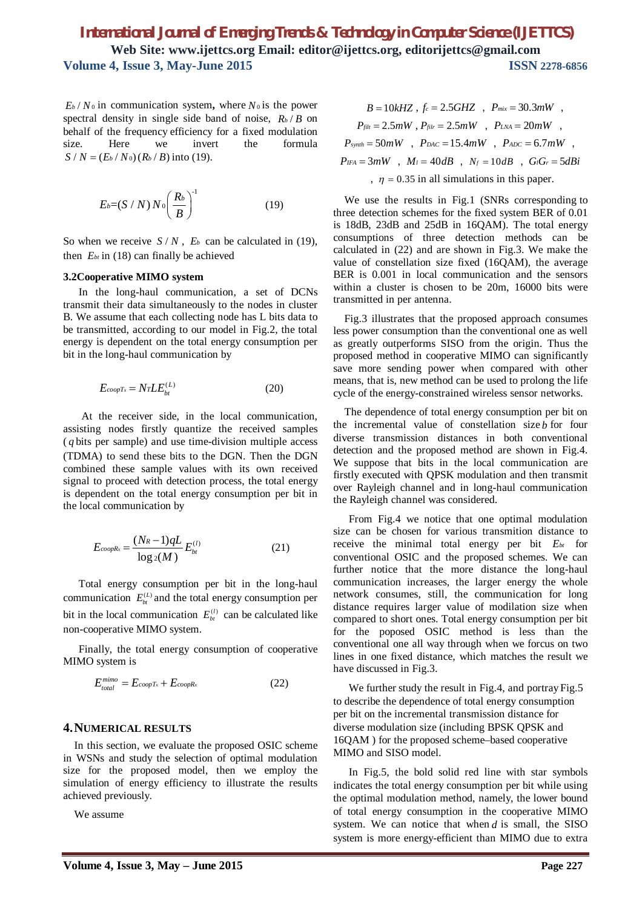$E_b$  /  $N_0$  in communication system, where  $N_0$  is the power spectral density in single side band of noise,  $R_b/B$  on behalf of the frequency efficiency for a fixed modulation size. Here we invert the formula  $S/N = (E_b/N_0) (R_b/B)$  into (19).

$$
E_b = (S/N) N_0 \left(\frac{R_b}{B}\right)^{-1} \tag{19}
$$

So when we receive  $S/N$ ,  $E_b$  can be calculated in (19), then  $E_{bt}$  in (18) can finally be achieved

#### **3.2Cooperative MIMO system**

In the long-haul communication, a set of DCNs transmit their data simultaneously to the nodes in cluster B. We assume that each collecting node has L bits data to be transmitted, according to our model in Fig.2, the total energy is dependent on the total energy consumption per bit in the long-haul communication by

$$
E_{coopTx} = NrLE_{bt}^{(L)}\tag{20}
$$

At the receiver side, in the local communication, assisting nodes firstly quantize the received samples ( *q* bits per sample) and use time-division multiple access (TDMA) to send these bits to the DGN. Then the DGN combined these sample values with its own received signal to proceed with detection process, the total energy is dependent on the total energy consumption per bit in the local communication by

$$
E_{coopRx} = \frac{(N_R - 1)qL}{\log_2(M)} E_{bt}^{(l)}
$$
 (21)

Total energy consumption per bit in the long-haul communication  $E_{bt}^{(L)}$  and the total energy consumption per bit in the local communication  $E_{bt}^{(l)}$  can be calculated like non-cooperative MIMO system.

Finally, the total energy consumption of cooperative MIMO system is

$$
E_{total}^{mimo} = E_{coopTx} + E_{coopRx}
$$
 (22)

## **4.NUMERICAL RESULTS**

In this section, we evaluate the proposed OSIC scheme in WSNs and study the selection of optimal modulation size for the proposed model, then we employ the simulation of energy efficiency to illustrate the results achieved previously.

We assume

$$
B = 10kHz, f_c = 2.5GHz, P_{mix} = 30.3mW,
$$
  
\n
$$
P_{filt} = 2.5mW, P_{filt} = 2.5mW, P_{LNA} = 20mW,
$$
  
\n
$$
P_{synth} = 50mW, P_{DAC} = 15.4mW, P_{ADC} = 6.7mW,
$$
  
\n
$$
P_{IFA} = 3mW, M_l = 40dB, N_f = 10dB, G_iG_r = 5dBi
$$
  
\n
$$
T = 0.35 \text{ in all simulations in this paper.}
$$

We use the results in Fig.1 (SNRs corresponding to three detection schemes for the fixed system BER of 0.01 is 18dB, 23dB and 25dB in 16QAM). The total energy consumptions of three detection methods can be calculated in (22) and are shown in Fig.3. We make the value of constellation size fixed (16QAM), the average BER is 0.001 in local communication and the sensors within a cluster is chosen to be 20m, 16000 bits were transmitted in per antenna.

Fig.3 illustrates that the proposed approach consumes less power consumption than the conventional one as well as greatly outperforms SISO from the origin. Thus the proposed method in cooperative MIMO can significantly save more sending power when compared with other means, that is, new method can be used to prolong the life cycle of the energy-constrained wireless sensor networks.

The dependence of total energy consumption per bit on the incremental value of constellation size *b* for four diverse transmission distances in both conventional detection and the proposed method are shown in Fig.4. We suppose that bits in the local communication are firstly executed with QPSK modulation and then transmit over Rayleigh channel and in long-haul communication the Rayleigh channel was considered.

From Fig.4 we notice that one optimal modulation size can be chosen for various transmition distance to receive the minimal total energy per bit *Ebt* for conventional OSIC and the proposed schemes. We can further notice that the more distance the long-haul communication increases, the larger energy the whole network consumes, still, the communication for long distance requires larger value of modilation size when compared to short ones. Total energy consumption per bit for the poposed OSIC method is less than the conventional one all way through when we forcus on two lines in one fixed distance, which matches the result we have discussed in Fig.3.

We further study the result in Fig.4, and portray Fig.5 to describe the dependence of total energy consumption per bit on the incremental transmission distance for diverse modulation size (including BPSK QPSK and 16QAM ) for the proposed scheme–based cooperative MIMO and SISO model.

In Fig.5, the bold solid red line with star symbols indicates the total energy consumption per bit while using the optimal modulation method, namely, the lower bound of total energy consumption in the cooperative MIMO system. We can notice that when *d* is small, the SISO system is more energy-efficient than MIMO due to extra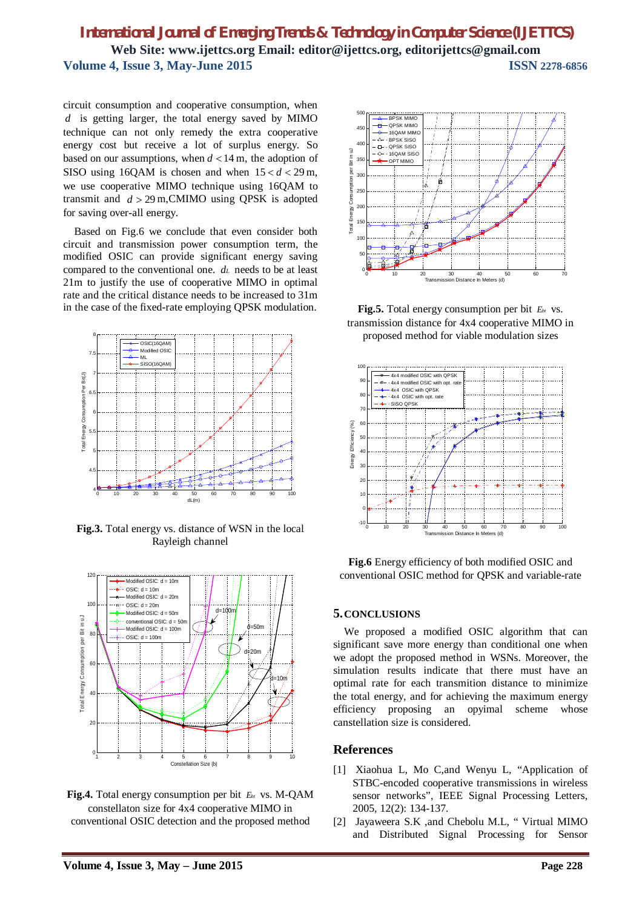circuit consumption and cooperative consumption, when *d* is getting larger, the total energy saved by MIMO technique can not only remedy the extra cooperative energy cost but receive a lot of surplus energy. So based on our assumptions, when  $d < 14$  m, the adoption of SISO using 16QAM is chosen and when  $15 < d < 29$  m, we use cooperative MIMO technique using 16QAM to transmit and  $d > 29$  m, CMIMO using QPSK is adopted for saving over-all energy.

Based on Fig.6 we conclude that even consider both circuit and transmission power consumption term, the modified OSIC can provide significant energy saving compared to the conventional one. *d<sup>L</sup>* needs to be at least 21m to justify the use of cooperative MIMO in optimal rate and the critical distance needs to be increased to 31m in the case of the fixed-rate employing QPSK modulation.



**Fig.3.** Total energy vs. distance of WSN in the local Rayleigh channel



**Fig.4.** Total energy consumption per bit *Ebt* vs. M-QAM constellaton size for 4x4 cooperative MIMO in conventional OSIC detection and the proposed method



**Fig.5.** Total energy consumption per bit *Ebt* vs. transmission distance for 4x4 cooperative MIMO in proposed method for viable modulation sizes



**Fig.6** Energy efficiency of both modified OSIC and conventional OSIC method for QPSK and variable-rate

## **5.CONCLUSIONS**

We proposed a modified OSIC algorithm that can significant save more energy than conditional one when we adopt the proposed method in WSNs. Moreover, the simulation results indicate that there must have an optimal rate for each transmition distance to minimize the total energy, and for achieving the maximum energy efficiency proposing an opyimal scheme whose canstellation size is considered.

## **References**

- [1] Xiaohua L, Mo C,and Wenyu L, "Application of STBC-encoded cooperative transmissions in wireless sensor networks", IEEE Signal Processing Letters, 2005, 12(2): 134-137.
- [2] Jayaweera S.K ,and Chebolu M.L, " Virtual MIMO and Distributed Signal Processing for Sensor